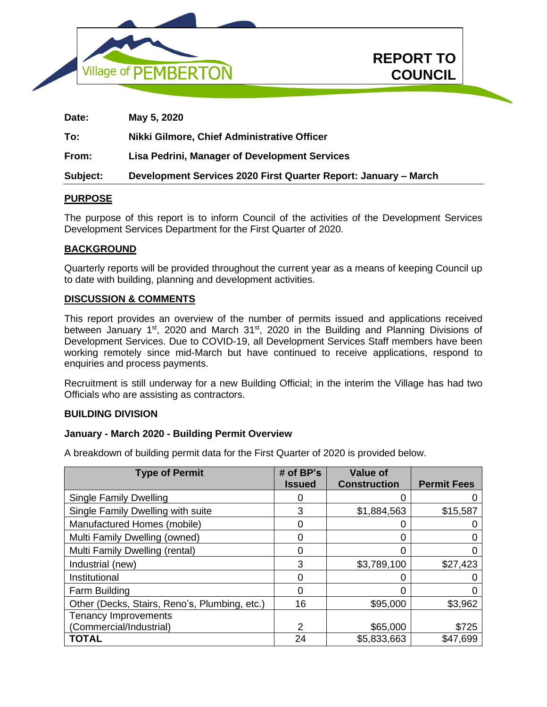



**REPORT TO**

**COUNCIL In Camera** 

# **PURPOSE**

The purpose of this report is to inform Council of the activities of the Development Services Development Services Department for the First Quarter of 2020.

#### **BACKGROUND**

Quarterly reports will be provided throughout the current year as a means of keeping Council up to date with building, planning and development activities.

#### **DISCUSSION & COMMENTS**

This report provides an overview of the number of permits issued and applications received between January 1<sup>st</sup>, 2020 and March 31<sup>st</sup>, 2020 in the Building and Planning Divisions of Development Services. Due to COVID-19, all Development Services Staff members have been working remotely since mid-March but have continued to receive applications, respond to enquiries and process payments.

Recruitment is still underway for a new Building Official; in the interim the Village has had two Officials who are assisting as contractors.

#### **BUILDING DIVISION**

#### **January - March 2020 - Building Permit Overview**

A breakdown of building permit data for the First Quarter of 2020 is provided below.

| <b>Type of Permit</b>                         | # of $BP's$    | <b>Value of</b>     |                    |
|-----------------------------------------------|----------------|---------------------|--------------------|
|                                               | <b>Issued</b>  | <b>Construction</b> | <b>Permit Fees</b> |
| <b>Single Family Dwelling</b>                 | O              |                     |                    |
| Single Family Dwelling with suite             | 3              | \$1,884,563         | \$15,587           |
| Manufactured Homes (mobile)                   | 0              |                     |                    |
| Multi Family Dwelling (owned)                 | 0              | 0                   |                    |
| Multi Family Dwelling (rental)                | 0              | 0                   |                    |
| Industrial (new)                              | 3              | \$3,789,100         | \$27,423           |
| Institutional                                 | 0              |                     |                    |
| Farm Building                                 | 0              | 0                   |                    |
| Other (Decks, Stairs, Reno's, Plumbing, etc.) | 16             | \$95,000            | \$3,962            |
| <b>Tenancy Improvements</b>                   |                |                     |                    |
| (Commercial/Industrial)                       | $\overline{2}$ | \$65,000            | \$725              |
| <b>TOTAL</b>                                  | 24             | \$5,833,663         | \$47,699           |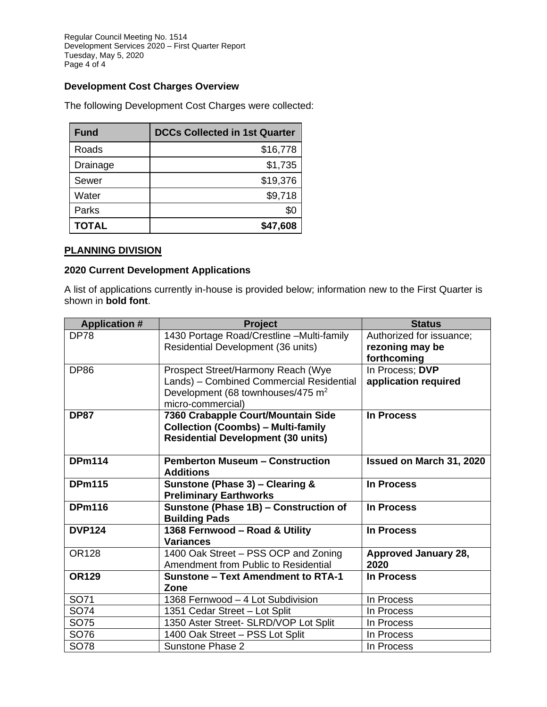Regular Council Meeting No. 1514 Development Services 2020 – First Quarter Report Tuesday, May 5, 2020 Page 4 of 4

# **Development Cost Charges Overview**

The following Development Cost Charges were collected:

| <b>Fund</b>  | <b>DCCs Collected in 1st Quarter</b> |
|--------------|--------------------------------------|
| Roads        | \$16,778                             |
| Drainage     | \$1,735                              |
| Sewer        | \$19,376                             |
| Water        | \$9,718                              |
| Parks        | \$C                                  |
| <b>TOTAL</b> | \$47,608                             |

# **PLANNING DIVISION**

# **2020 Current Development Applications**

A list of applications currently in-house is provided below; information new to the First Quarter is shown in **bold font**.

| <b>Application #</b> | <b>Project</b>                                     | <b>Status</b>               |
|----------------------|----------------------------------------------------|-----------------------------|
| <b>DP78</b>          | 1430 Portage Road/Crestline -Multi-family          | Authorized for issuance;    |
|                      | Residential Development (36 units)                 | rezoning may be             |
|                      |                                                    | forthcoming                 |
| <b>DP86</b>          | Prospect Street/Harmony Reach (Wye                 | In Process; DVP             |
|                      | Lands) - Combined Commercial Residential           | application required        |
|                      | Development (68 townhouses/475 m <sup>2</sup>      |                             |
|                      | micro-commercial)                                  |                             |
| <b>DP87</b>          | 7360 Crabapple Court/Mountain Side                 | In Process                  |
|                      | <b>Collection (Coombs) - Multi-family</b>          |                             |
|                      | <b>Residential Development (30 units)</b>          |                             |
|                      |                                                    |                             |
| <b>DPm114</b>        | <b>Pemberton Museum - Construction</b>             | Issued on March 31, 2020    |
|                      | <b>Additions</b>                                   |                             |
| <b>DPm115</b>        | Sunstone (Phase 3) - Clearing &                    | <b>In Process</b>           |
|                      | <b>Preliminary Earthworks</b>                      |                             |
| <b>DPm116</b>        | Sunstone (Phase 1B) - Construction of              | In Process                  |
|                      | <b>Building Pads</b>                               |                             |
| <b>DVP124</b>        | 1368 Fernwood - Road & Utility<br><b>Variances</b> | <b>In Process</b>           |
|                      |                                                    |                             |
| <b>OR128</b>         | 1400 Oak Street - PSS OCP and Zoning               | <b>Approved January 28,</b> |
|                      | Amendment from Public to Residential               | 2020                        |
| <b>OR129</b>         | <b>Sunstone - Text Amendment to RTA-1</b>          | In Process                  |
|                      | Zone                                               |                             |
| SO71                 | 1368 Fernwood - 4 Lot Subdivision                  | In Process                  |
| SO74                 | 1351 Cedar Street - Lot Split                      | In Process                  |
| SO75                 | 1350 Aster Street- SLRD/VOP Lot Split              | In Process                  |
| SO76                 | 1400 Oak Street - PSS Lot Split                    | In Process                  |
| SO78                 | Sunstone Phase 2                                   | In Process                  |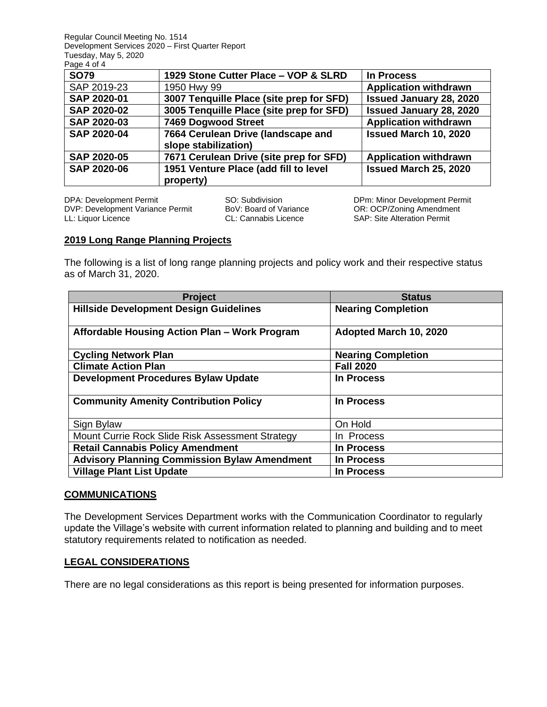Regular Council Meeting No. 1514 Development Services 2020 – First Quarter Report Tuesday, May 5, 2020  $P$ age  $\overrightarrow{A}$  of  $\overrightarrow{A}$ 

| $ayc + vi +$       |                                                            |                                |
|--------------------|------------------------------------------------------------|--------------------------------|
| <b>SO79</b>        | 1929 Stone Cutter Place - VOP & SLRD                       | In Process                     |
| SAP 2019-23        | 1950 Hwy 99                                                | <b>Application withdrawn</b>   |
| SAP 2020-01        | 3007 Tenquille Place (site prep for SFD)                   | <b>Issued January 28, 2020</b> |
| <b>SAP 2020-02</b> | 3005 Tenquille Place (site prep for SFD)                   | <b>Issued January 28, 2020</b> |
| <b>SAP 2020-03</b> | 7469 Dogwood Street                                        | <b>Application withdrawn</b>   |
| <b>SAP 2020-04</b> | 7664 Cerulean Drive (landscape and<br>slope stabilization) | Issued March 10, 2020          |
| <b>SAP 2020-05</b> | 7671 Cerulean Drive (site prep for SFD)                    | <b>Application withdrawn</b>   |
| <b>SAP 2020-06</b> | 1951 Venture Place (add fill to level<br>property)         | Issued March 25, 2020          |

DPA: Development Permit SO: Subdivision DPm: Minor Development Permit DVP: Development Variance Permit BoV: Board of Variance OR: OCP/Zoning Amendment<br>
LL: Liquor Licence CL: Cannabis Licence SAP: Site Alteration Permit LL: Liquor Licence CL: Cannabis Licence SAP: Site Alteration Permit

# **2019 Long Range Planning Projects**

The following is a list of long range planning projects and policy work and their respective status as of March 31, 2020.

| <b>Project</b>                                      | <b>Status</b>             |
|-----------------------------------------------------|---------------------------|
| <b>Hillside Development Design Guidelines</b>       | <b>Nearing Completion</b> |
| Affordable Housing Action Plan - Work Program       | Adopted March 10, 2020    |
| <b>Cycling Network Plan</b>                         | <b>Nearing Completion</b> |
| <b>Climate Action Plan</b>                          | <b>Fall 2020</b>          |
| <b>Development Procedures Bylaw Update</b>          | In Process                |
| <b>Community Amenity Contribution Policy</b>        | <b>In Process</b>         |
| Sign Bylaw                                          | On Hold                   |
| Mount Currie Rock Slide Risk Assessment Strategy    | In Process                |
| <b>Retail Cannabis Policy Amendment</b>             | In Process                |
| <b>Advisory Planning Commission Bylaw Amendment</b> | In Process                |
| <b>Village Plant List Update</b>                    | <b>In Process</b>         |

#### **COMMUNICATIONS**

The Development Services Department works with the Communication Coordinator to regularly update the Village's website with current information related to planning and building and to meet statutory requirements related to notification as needed.

# **LEGAL CONSIDERATIONS**

There are no legal considerations as this report is being presented for information purposes.